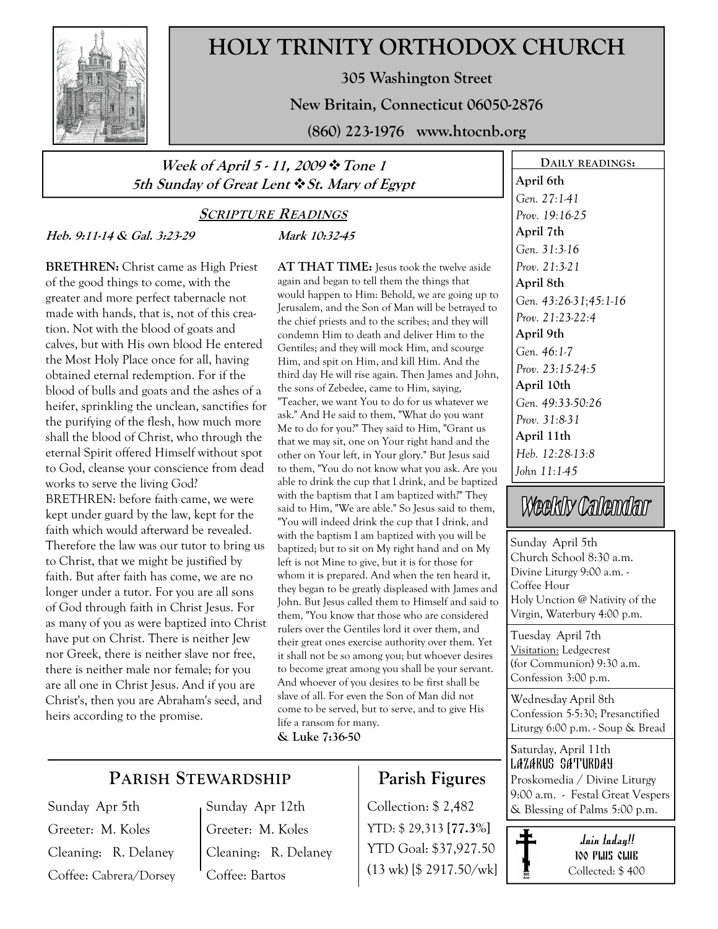

# HOLY TRINITY ORTHODOX CHURCH

305 Washington Street

New Britain, Connecticut 06050-2876

(860) 223-1976 www.htocnb.org

## Week of April 5 - 11, 2009 \* Tone 1 5th Sunday of Great Lent  $\cdot$  St. Mary of Egypt

## **SCRIPTURE READINGS** Mark 10:32-45

Heb. 9:11-14 & Gal. 3:23-29

BRETHREN: Christ came as High Priest of the good things to come, with the greater and more perfect tabernacle not made with hands, that is, not of this creation. Not with the blood of goats and calves, but with His own blood He entered the Most Holy Place once for all, having obtained eternal redemption. For if the blood of bulls and goats and the ashes of a heifer, sprinkling the unclean, sanctifies for the purifying of the flesh, how much more shall the blood of Christ, who through the eternal Spirit offered Himself without spot to God, cleanse your conscience from dead works to serve the living God? BRETHREN: before faith came, we were kept under guard by the law, kept for the faith which would afterward be revealed. Therefore the law was our tutor to bring us to Christ, that we might be justified by faith. But after faith has come, we are no longer under a tutor. For you are all sons of God through faith in Christ Jesus. For as many of you as were baptized into Christ have put on Christ. There is neither Jew nor Greek, there is neither slave nor free, there is neither male nor female; for you are all one in Christ Jesus. And if you are Christ's, then you are Abraham's seed, and heirs according to the promise.

AT THAT TIME: Jesus took the twelve aside again and began to tell them the things that would happen to Him: Behold, we are going up to Jerusalem, and the Son of Man will be betrayed to the chief priests and to the scribes; and they will condemn Him to death and deliver Him to the Gentiles; and they will mock Him, and scourge Him, and spit on Him, and kill Him. And the third day He will rise again. Then James and John, the sons of Zebedee, came to Him, saying, "Teacher, we want You to do for us whatever we ask." And He said to them, "What do you want Me to do for you?" They said to Him, "Grant us that we may sit, one on Your right hand and the other on Your left, in Your glory." But Jesus said to them, "You do not know what you ask. Are you able to drink the cup that I drink, and be baptized with the baptism that I am baptized with?" They said to Him, "We are able." So Jesus said to them, "You will indeed drink the cup that I drink, and with the baptism I am baptized with you will be baptized; but to sit on My right hand and on My left is not Mine to give, but it is for those for whom it is prepared. And when the ten heard it, they began to be greatly displeased with James and John. But Jesus called them to Himself and said to them, "You know that those who are considered rulers over the Gentiles lord it over them, and their great ones exercise authority over them. Yet it shall not be so among you; but whoever desires to become great among you shall be your servant. And whoever of you desires to be first shall be slave of all. For even the Son of Man did not come to be served, but to serve, and to give His life a ransom for many.

& Luke 7:36-50

## PARISH STEWARDSHIP

Sunday Apr 5th Greeter: M. Koles Cleaning: R. Delaney Coffee: Cabrera/Dorsey Sunday Apr 12th Greeter: M. Koles Cleaning: R. Delaney Coffee: Bartos

# Parish Figures

YTD: \$ 29,313 [77.3%] YTD Goal: \$37,927.50 (13 wk) [\$ 2917.50/wk]

DAILY READINGS: April 6th Gen. 27:1-41 Prov. 19:16-25 April 7th Gen. 31:3-16 Prov. 21:3-21 April 8th Gen. 43:26-31;45:1-16 Prov. 21:23-22:4 April 9th Gen. 46:1-7 Prov. 23:15-24:5 April 10th Gen. 49:33-50:26 Prov. 31:8-31 April 11th Heb. 12:28-13:8 John 11:1-45

# Weekly Calendar

Sunday April 5th Church School 8:30 a.m. Divine Liturgy 9:00 a.m. - Coffee Hour Holy Unction @ Nativity of the Virgin, Waterbury 4:00 p.m.

Tuesday April 7th Visitation: Ledgecrest (for Communion) 9:30 a.m. Confession 3:00 p.m.

Wednesday April 8th Confession 5-5:30; Presanctified Liturgy 6:00 p.m. - Soup & Bread

Saturday, April 11th LAZARUS SATURDAY Proskomedia / Divine Liturgy 9:00 a.m. - Festal Great Vespers Collection:  $$ 2,482$   $\&$  Blessing of Palms 5:00 p.m.